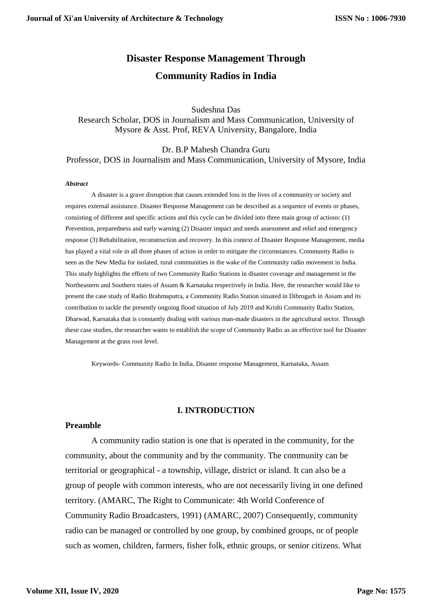# **Disaster Response Management Through Community Radios in India**

Sudeshna Das Research Scholar, DOS in Journalism and Mass Communication, University of Mysore & Asst. Prof, REVA University, Bangalore, India

Dr. B.P Mahesh Chandra Guru Professor, DOS in Journalism and Mass Communication, University of Mysore, India

#### *Abstract*

A disaster is a grave disruption that causes extended loss in the lives of a community or society and requires external assistance. Disaster Response Management can be described as a sequence of events or phases, consisting of different and specific actions and this cycle can be divided into three main group of actions: (1) Prevention, preparedness and early warning (2) Disaster impact and needs assessment and relief and emergency response (3) Rehabilitation, reconstruction and recovery. In this context of Disaster Response Management, media has played a vital role in all three phases of action in order to mitigate the circumstances. Community Radio is seen as the New Media for isolated, rural communities in the wake of the Community radio movement in India. This study highlights the efforts of two Community Radio Stations in disaster coverage and management in the Northeastern and Southern states of Assam & Karnataka respectively in India. Here, the researcher would like to present the case study of Radio Brahmaputra, a Community Radio Station situated in Dibrugarh in Assam and its contribution to tackle the presently ongoing flood situation of July 2019 and Krishi Community Radio Station, Dharwad, Karnataka that is constantly dealing with various man-made disasters in the agricultural sector. Through these case studies, the researcher wants to establish the scope of Community Radio as an effective tool for Disaster Management at the grass root level.

Keywords- Community Radio In India, Disaster response Management, Karnataka, Assam

# **I. INTRODUCTION**

### **Preamble**

A community radio station is one that is operated in the community, for the community, about the community and by the community. The community can be territorial or geographical - a township, village, district or island. It can also be a group of people with common interests, who are not necessarily living in one defined territory. (AMARC, The Right to Communicate: 4th World Conference of Community Radio Broadcasters, 1991) (AMARC, 2007) Consequently, community radio can be managed or controlled by one group, by combined groups, or of people such as women, children, farmers, fisher folk, ethnic groups, or senior citizens. What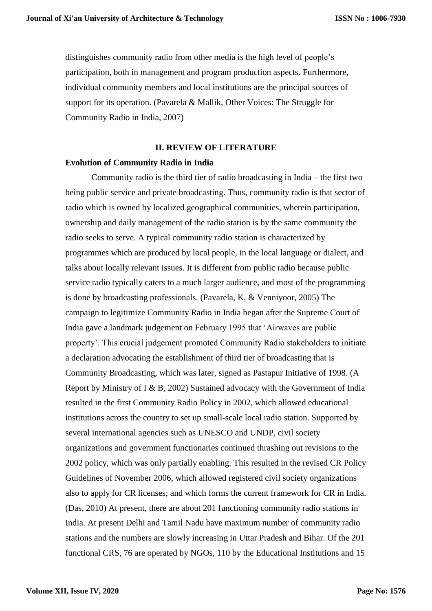distinguishes community radio from other media is the high level of people's participation, both in management and program production aspects. Furthermore, individual community members and local institutions are the principal sources of support for its operation. (Pavarela & Mallik, Other Voices: The Struggle for Community Radio in India, 2007)

# **II. REVIEW OF LITERATURE**

### **Evolution of Community Radio in India**

Community radio is the third tier of radio broadcasting in India – the first two being public service and private broadcasting. Thus, community radio is that sector of radio which is owned by localized geographical communities, wherein participation, ownership and daily management of the radio station is by the same community the radio seeks to serve. A typical community radio station is characterized by programmes which are produced by local people, in the local language or dialect, and talks about locally relevant issues. It is different from public radio because public service radio typically caters to a much larger audience, and most of the programming is done by broadcasting professionals. (Pavarela, K, & Venniyoor, 2005) The campaign to legitimize Community Radio in India began after the Supreme Court of India gave a landmark judgement on February 1995 that 'Airwaves are public property'. This crucial judgement promoted Community Radio stakeholders to initiate a declaration advocating the establishment of third tier of broadcasting that is Community Broadcasting, which was later, signed as Pastapur Initiative of 1998. (A Report by Ministry of I & B, 2002) Sustained advocacy with the Government of India resulted in the first Community Radio Policy in 2002, which allowed educational institutions across the country to set up small-scale local radio station. Supported by several international agencies such as UNESCO and UNDP, civil society organizations and government functionaries continued thrashing out revisions to the 2002 policy, which was only partially enabling. This resulted in the revised CR Policy Guidelines of November 2006, which allowed registered civil society organizations also to apply for CR licenses; and which forms the current framework for CR in India. (Das, 2010) At present, there are about 201 functioning community radio stations in India. At present Delhi and Tamil Nadu have maximum number of community radio stations and the numbers are slowly increasing in Uttar Pradesh and Bihar. Of the 201 functional CRS, 76 are operated by NGOs, 110 by the Educational Institutions and 15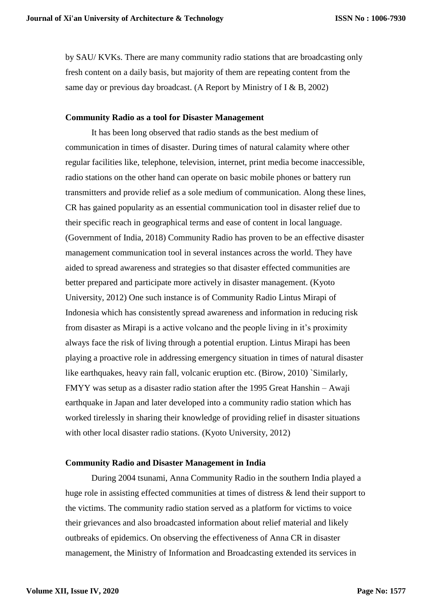by SAU/ KVKs. There are many community radio stations that are broadcasting only fresh content on a daily basis, but majority of them are repeating content from the same day or previous day broadcast. (A Report by Ministry of I & B, 2002)

# **Community Radio as a tool for Disaster Management**

It has been long observed that radio stands as the best medium of communication in times of disaster. During times of natural calamity where other regular facilities like, telephone, television, internet, print media become inaccessible, radio stations on the other hand can operate on basic mobile phones or battery run transmitters and provide relief as a sole medium of communication. Along these lines, CR has gained popularity as an essential communication tool in disaster relief due to their specific reach in geographical terms and ease of content in local language. (Government of India, 2018) Community Radio has proven to be an effective disaster management communication tool in several instances across the world. They have aided to spread awareness and strategies so that disaster effected communities are better prepared and participate more actively in disaster management. (Kyoto University, 2012) One such instance is of Community Radio Lintus Mirapi of Indonesia which has consistently spread awareness and information in reducing risk from disaster as Mirapi is a active volcano and the people living in it's proximity always face the risk of living through a potential eruption. Lintus Mirapi has been playing a proactive role in addressing emergency situation in times of natural disaster like earthquakes, heavy rain fall, volcanic eruption etc. (Birow, 2010) `Similarly, FMYY was setup as a disaster radio station after the 1995 Great Hanshin – Awaji earthquake in Japan and later developed into a community radio station which has worked tirelessly in sharing their knowledge of providing relief in disaster situations with other local disaster radio stations. (Kyoto University, 2012)

# **Community Radio and Disaster Management in India**

During 2004 tsunami, Anna Community Radio in the southern India played a huge role in assisting effected communities at times of distress & lend their support to the victims. The community radio station served as a platform for victims to voice their grievances and also broadcasted information about relief material and likely outbreaks of epidemics. On observing the effectiveness of Anna CR in disaster management, the Ministry of Information and Broadcasting extended its services in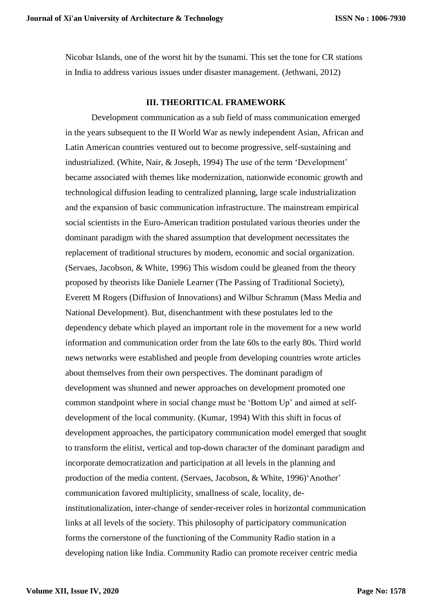Nicobar Islands, one of the worst hit by the tsunami. This set the tone for CR stations in India to address various issues under disaster management. (Jethwani, 2012)

# **III. THEORITICAL FRAMEWORK**

Development communication as a sub field of mass communication emerged in the years subsequent to the II World War as newly independent Asian, African and Latin American countries ventured out to become progressive, self-sustaining and industrialized. (White, Nair, & Joseph, 1994) The use of the term 'Development' became associated with themes like modernization, nationwide economic growth and technological diffusion leading to centralized planning, large scale industrialization and the expansion of basic communication infrastructure. The mainstream empirical social scientists in the Euro-American tradition postulated various theories under the dominant paradigm with the shared assumption that development necessitates the replacement of traditional structures by modern, economic and social organization. (Servaes, Jacobson, & White, 1996) This wisdom could be gleaned from the theory proposed by theorists like Daniele Learner (The Passing of Traditional Society), Everett M Rogers (Diffusion of Innovations) and Wilbur Schramm (Mass Media and National Development). But, disenchantment with these postulates led to the dependency debate which played an important role in the movement for a new world information and communication order from the late 60s to the early 80s. Third world news networks were established and people from developing countries wrote articles about themselves from their own perspectives. The dominant paradigm of development was shunned and newer approaches on development promoted one common standpoint where in social change must be 'Bottom Up' and aimed at selfdevelopment of the local community. (Kumar, 1994) With this shift in focus of development approaches, the participatory communication model emerged that sought to transform the elitist, vertical and top-down character of the dominant paradigm and incorporate democratization and participation at all levels in the planning and production of the media content. (Servaes, Jacobson, & White, 1996)'Another' communication favored multiplicity, smallness of scale, locality, deinstitutionalization, inter-change of sender-receiver roles in horizontal communication links at all levels of the society. This philosophy of participatory communication forms the cornerstone of the functioning of the Community Radio station in a developing nation like India. Community Radio can promote receiver centric media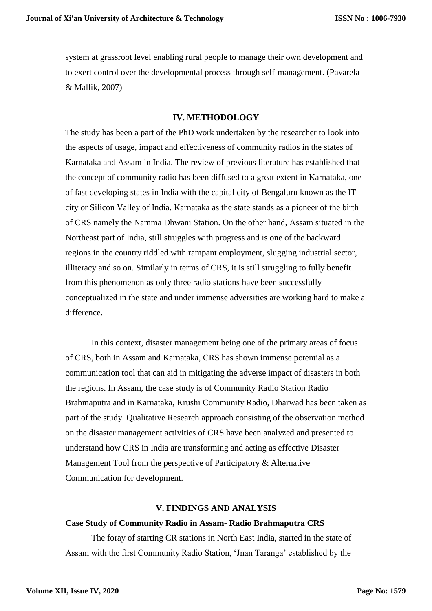system at grassroot level enabling rural people to manage their own development and to exert control over the developmental process through self-management. (Pavarela & Mallik, 2007)

# **IV. METHODOLOGY**

The study has been a part of the PhD work undertaken by the researcher to look into the aspects of usage, impact and effectiveness of community radios in the states of Karnataka and Assam in India. The review of previous literature has established that the concept of community radio has been diffused to a great extent in Karnataka, one of fast developing states in India with the capital city of Bengaluru known as the IT city or Silicon Valley of India. Karnataka as the state stands as a pioneer of the birth of CRS namely the Namma Dhwani Station. On the other hand, Assam situated in the Northeast part of India, still struggles with progress and is one of the backward regions in the country riddled with rampant employment, slugging industrial sector, illiteracy and so on. Similarly in terms of CRS, it is still struggling to fully benefit from this phenomenon as only three radio stations have been successfully conceptualized in the state and under immense adversities are working hard to make a difference.

In this context, disaster management being one of the primary areas of focus of CRS, both in Assam and Karnataka, CRS has shown immense potential as a communication tool that can aid in mitigating the adverse impact of disasters in both the regions. In Assam, the case study is of Community Radio Station Radio Brahmaputra and in Karnataka, Krushi Community Radio, Dharwad has been taken as part of the study. Qualitative Research approach consisting of the observation method on the disaster management activities of CRS have been analyzed and presented to understand how CRS in India are transforming and acting as effective Disaster Management Tool from the perspective of Participatory & Alternative Communication for development.

# **V. FINDINGS AND ANALYSIS**

# **Case Study of Community Radio in Assam- Radio Brahmaputra CRS**

The foray of starting CR stations in North East India, started in the state of Assam with the first Community Radio Station, 'Jnan Taranga' established by the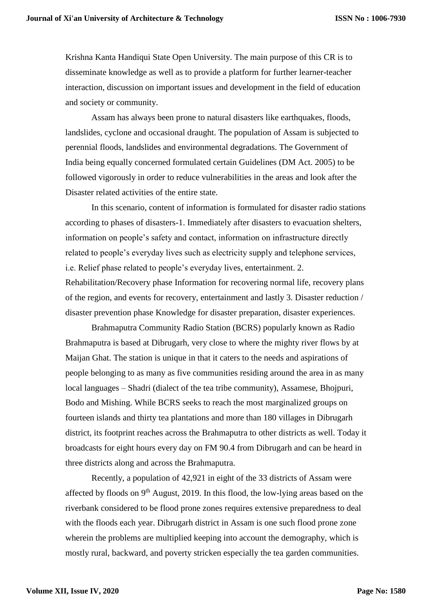Krishna Kanta Handiqui State Open University. The main purpose of this CR is to disseminate knowledge as well as to provide a platform for further learner-teacher interaction, discussion on important issues and development in the field of education and society or community.

Assam has always been prone to natural disasters like earthquakes, floods, landslides, cyclone and occasional draught. The population of Assam is subjected to perennial floods, landslides and environmental degradations. The Government of India being equally concerned formulated certain Guidelines (DM Act. 2005) to be followed vigorously in order to reduce vulnerabilities in the areas and look after the Disaster related activities of the entire state.

In this scenario, content of information is formulated for disaster radio stations according to phases of disasters-1. Immediately after disasters to evacuation shelters, information on people's safety and contact, information on infrastructure directly related to people's everyday lives such as electricity supply and telephone services, i.e. Relief phase related to people's everyday lives, entertainment. 2. Rehabilitation/Recovery phase Information for recovering normal life, recovery plans of the region, and events for recovery, entertainment and lastly 3. Disaster reduction / disaster prevention phase Knowledge for disaster preparation, disaster experiences.

Brahmaputra Community Radio Station (BCRS) popularly known as Radio Brahmaputra is based at Dibrugarh, very close to where the mighty river flows by at Maijan Ghat. The station is unique in that it caters to the needs and aspirations of people belonging to as many as five communities residing around the area in as many local languages – Shadri (dialect of the tea tribe community), Assamese, Bhojpuri, Bodo and Mishing. While BCRS seeks to reach the most marginalized groups on fourteen islands and thirty tea plantations and more than 180 villages in Dibrugarh district, its footprint reaches across the Brahmaputra to other districts as well. Today it broadcasts for eight hours every day on FM 90.4 from Dibrugarh and can be heard in three districts along and across the Brahmaputra.

Recently, a population of 42,921 in eight of the 33 districts of Assam were affected by floods on  $9<sup>th</sup>$  August, 2019. In this flood, the low-lying areas based on the riverbank considered to be flood prone zones requires extensive preparedness to deal with the floods each year. Dibrugarh district in Assam is one such flood prone zone wherein the problems are multiplied keeping into account the demography, which is mostly rural, backward, and poverty stricken especially the tea garden communities.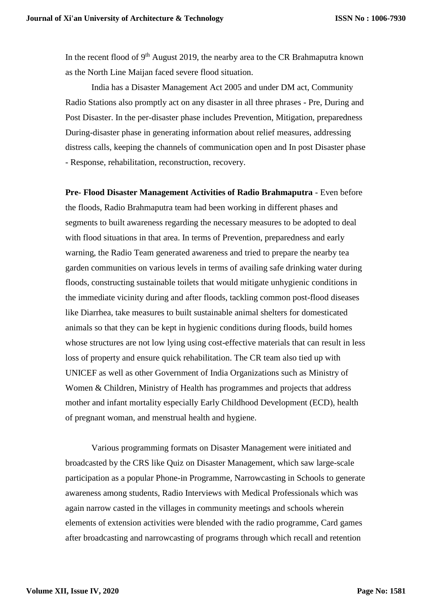In the recent flood of  $9<sup>th</sup>$  August 2019, the nearby area to the CR Brahmaputra known as the North Line Maijan faced severe flood situation.

India has a Disaster Management Act 2005 and under DM act, Community Radio Stations also promptly act on any disaster in all three phrases - Pre, During and Post Disaster. In the per-disaster phase includes Prevention, Mitigation, preparedness During-disaster phase in generating information about relief measures, addressing distress calls, keeping the channels of communication open and In post Disaster phase - Response, rehabilitation, reconstruction, recovery.

**Pre- Flood Disaster Management Activities of Radio Brahmaputra** - Even before the floods, Radio Brahmaputra team had been working in different phases and segments to built awareness regarding the necessary measures to be adopted to deal with flood situations in that area. In terms of Prevention, preparedness and early warning, the Radio Team generated awareness and tried to prepare the nearby tea garden communities on various levels in terms of availing safe drinking water during floods, constructing sustainable toilets that would mitigate unhygienic conditions in the immediate vicinity during and after floods, tackling common post-flood diseases like Diarrhea, take measures to built sustainable animal shelters for domesticated animals so that they can be kept in hygienic conditions during floods, build homes whose structures are not low lying using cost-effective materials that can result in less loss of property and ensure quick rehabilitation. The CR team also tied up with UNICEF as well as other Government of India Organizations such as Ministry of Women & Children, Ministry of Health has programmes and projects that address mother and infant mortality especially Early Childhood Development (ECD), health of pregnant woman, and menstrual health and hygiene.

Various programming formats on Disaster Management were initiated and broadcasted by the CRS like Quiz on Disaster Management, which saw large-scale participation as a popular Phone-in Programme, Narrowcasting in Schools to generate awareness among students, Radio Interviews with Medical Professionals which was again narrow casted in the villages in community meetings and schools wherein elements of extension activities were blended with the radio programme, Card games after broadcasting and narrowcasting of programs through which recall and retention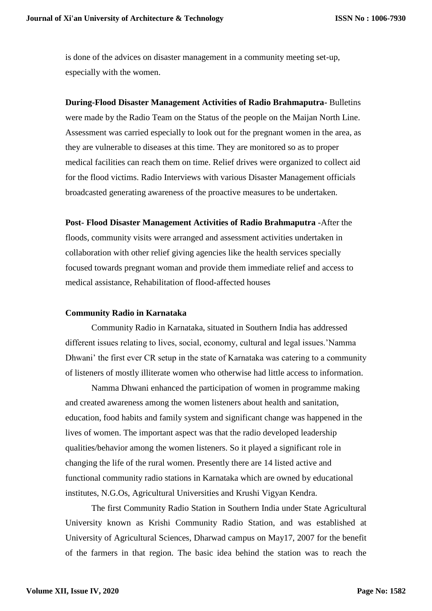is done of the advices on disaster management in a community meeting set-up, especially with the women.

**During-Flood Disaster Management Activities of Radio Brahmaputra-** Bulletins were made by the Radio Team on the Status of the people on the Maijan North Line. Assessment was carried especially to look out for the pregnant women in the area, as they are vulnerable to diseases at this time. They are monitored so as to proper medical facilities can reach them on time. Relief drives were organized to collect aid for the flood victims. Radio Interviews with various Disaster Management officials broadcasted generating awareness of the proactive measures to be undertaken.

**Post- Flood Disaster Management Activities of Radio Brahmaputra** -After the floods, community visits were arranged and assessment activities undertaken in collaboration with other relief giving agencies like the health services specially focused towards pregnant woman and provide them immediate relief and access to medical assistance, Rehabilitation of flood-affected houses

# **Community Radio in Karnataka**

Community Radio in Karnataka, situated in Southern India has addressed different issues relating to lives, social, economy, cultural and legal issues.'Namma Dhwani' the first ever CR setup in the state of Karnataka was catering to a community of listeners of mostly illiterate women who otherwise had little access to information.

Namma Dhwani enhanced the participation of women in programme making and created awareness among the women listeners about health and sanitation, education, food habits and family system and significant change was happened in the lives of women. The important aspect was that the radio developed leadership qualities/behavior among the women listeners. So it played a significant role in changing the life of the rural women. Presently there are 14 listed active and functional community radio stations in Karnataka which are owned by educational institutes, N.G.Os, Agricultural Universities and Krushi Vigyan Kendra.

The first Community Radio Station in Southern India under State Agricultural University known as Krishi Community Radio Station, and was established at University of Agricultural Sciences, Dharwad campus on May17, 2007 for the benefit of the farmers in that region. The basic idea behind the station was to reach the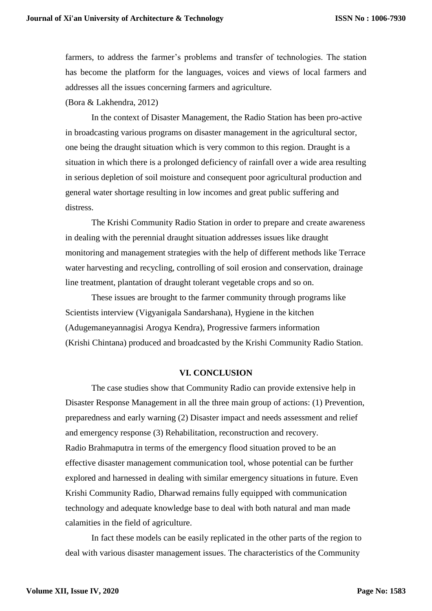farmers, to address the farmer's problems and transfer of technologies. The station has become the platform for the languages, voices and views of local farmers and addresses all the issues concerning farmers and agriculture. (Bora & Lakhendra, 2012)

In the context of Disaster Management, the Radio Station has been pro-active in broadcasting various programs on disaster management in the agricultural sector, one being the draught situation which is very common to this region. Draught is a situation in which there is a prolonged deficiency of rainfall over a wide area resulting in serious depletion of soil moisture and consequent poor agricultural production and general water shortage resulting in low incomes and great public suffering and distress.

The Krishi Community Radio Station in order to prepare and create awareness in dealing with the perennial draught situation addresses issues like draught monitoring and management strategies with the help of different methods like Terrace water harvesting and recycling, controlling of soil erosion and conservation, drainage line treatment, plantation of draught tolerant vegetable crops and so on.

These issues are brought to the farmer community through programs like Scientists interview (Vigyanigala Sandarshana), Hygiene in the kitchen (Adugemaneyannagisi Arogya Kendra), Progressive farmers information (Krishi Chintana) produced and broadcasted by the Krishi Community Radio Station.

# **VI. CONCLUSION**

The case studies show that Community Radio can provide extensive help in Disaster Response Management in all the three main group of actions: (1) Prevention, preparedness and early warning (2) Disaster impact and needs assessment and relief and emergency response (3) Rehabilitation, reconstruction and recovery. Radio Brahmaputra in terms of the emergency flood situation proved to be an effective disaster management communication tool, whose potential can be further explored and harnessed in dealing with similar emergency situations in future. Even Krishi Community Radio, Dharwad remains fully equipped with communication technology and adequate knowledge base to deal with both natural and man made calamities in the field of agriculture.

In fact these models can be easily replicated in the other parts of the region to deal with various disaster management issues. The characteristics of the Community